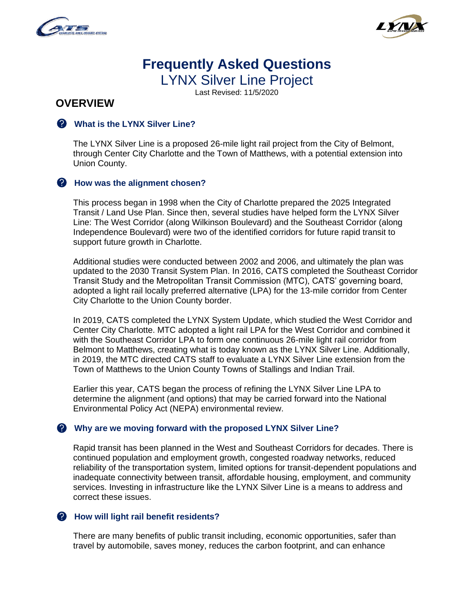



# **Frequently Asked Questions**  LYNX Silver Line Project

Last Revised: 11/5/2020

# **OVERVIEW**

#### **What is the LYNX Silver Line?**

The LYNX Silver Line is a proposed 26-mile light rail project from the City of Belmont, through Center City Charlotte and the Town of Matthews, with a potential extension into Union County.

#### **A** How was the alignment chosen?

This process began in 1998 when the City of Charlotte prepared the 2025 Integrated Transit / Land Use Plan. Since then, several studies have helped form the LYNX Silver Line: The West Corridor (along Wilkinson Boulevard) and the Southeast Corridor (along Independence Boulevard) were two of the identified corridors for future rapid transit to support future growth in Charlotte.

Additional studies were conducted between 2002 and 2006, and ultimately the plan was updated to the 2030 Transit System Plan. In 2016, CATS completed the Southeast Corridor Transit Study and the Metropolitan Transit Commission (MTC), CATS' governing board, adopted a light rail locally preferred alternative (LPA) for the 13-mile corridor from Center City Charlotte to the Union County border.

In 2019, CATS completed the LYNX System Update, which studied the West Corridor and Center City Charlotte. MTC adopted a light rail LPA for the West Corridor and combined it with the Southeast Corridor LPA to form one continuous 26-mile light rail corridor from Belmont to Matthews, creating what is today known as the LYNX Silver Line. Additionally, in 2019, the MTC directed CATS staff to evaluate a LYNX Silver Line extension from the Town of Matthews to the Union County Towns of Stallings and Indian Trail.

Earlier this year, CATS began the process of refining the LYNX Silver Line LPA to determine the alignment (and options) that may be carried forward into the National Environmental Policy Act (NEPA) environmental review.

#### **Why are we moving forward with the proposed LYNX Silver Line?**

Rapid transit has been planned in the West and Southeast Corridors for decades. There is continued population and employment growth, congested roadway networks, reduced reliability of the transportation system, limited options for transit-dependent populations and inadequate connectivity between transit, affordable housing, employment, and community services. Investing in infrastructure like the LYNX Silver Line is a means to address and correct these issues.

#### **How will light rail benefit residents?**

There are many benefits of public transit including, economic opportunities, safer than travel by automobile, saves money, reduces the carbon footprint, and can enhance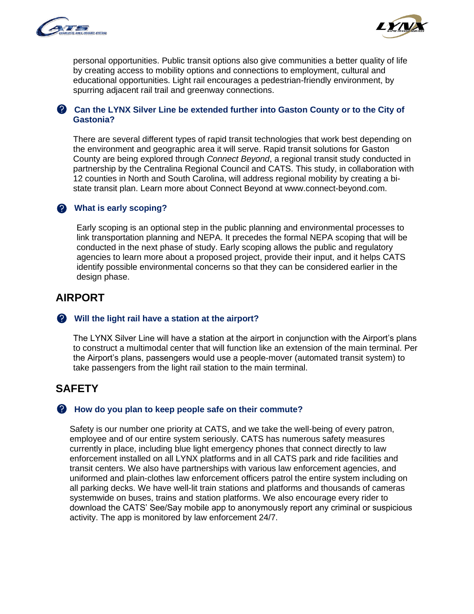



personal opportunities. Public transit options also give communities a better quality of life by creating access to mobility options and connections to employment, cultural and educational opportunities. Light rail encourages a pedestrian-friendly environment, by spurring adjacent rail trail and greenway connections.

#### **Can the LYNX Silver Line be extended further into Gaston County or to the City of Gastonia?**

There are several different types of rapid transit technologies that work best depending on the environment and geographic area it will serve. Rapid transit solutions for Gaston County are being explored through *Connect Beyond*, a regional transit study conducted in partnership by the Centralina Regional Council and CATS. This study, in collaboration with 12 counties in North and South Carolina, will address regional mobility by creating a bistate transit plan. Learn more about Connect Beyond at www.connect-beyond.com.

#### **What is early scoping?**

Early scoping is an optional step in the public planning and environmental processes to link transportation planning and NEPA. It precedes the formal NEPA scoping that will be conducted in the next phase of study. Early scoping allows the public and regulatory agencies to learn more about a proposed project, provide their input, and it helps CATS identify possible environmental concerns so that they can be considered earlier in the design phase.

# **AIRPORT**

#### **Will the light rail have a station at the airport?**

The LYNX Silver Line will have a station at the airport in conjunction with the Airport's plans to construct a multimodal center that will function like an extension of the main terminal. Per the Airport's plans, passengers would use a people-mover (automated transit system) to take passengers from the light rail station to the main terminal.

# **SAFETY**

#### **A** How do you plan to keep people safe on their commute?

Safety is our number one priority at CATS, and we take the well-being of every patron, employee and of our entire system seriously. CATS has numerous safety measures currently in place, including blue light emergency phones that connect directly to law enforcement installed on all LYNX platforms and in all CATS park and ride facilities and transit centers. We also have partnerships with various law enforcement agencies, and uniformed and plain-clothes law enforcement officers patrol the entire system including on all parking decks. We have well-lit train stations and platforms and thousands of cameras systemwide on buses, trains and station platforms. We also encourage every rider to download the CATS' See/Say mobile app to anonymously report any criminal or suspicious activity. The app is monitored by law enforcement 24/7.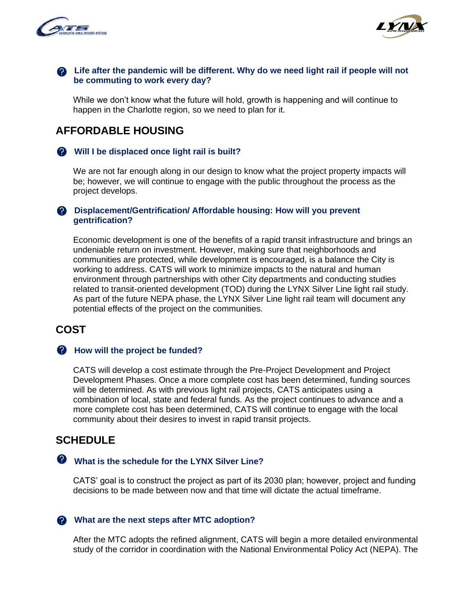



#### **Life after the pandemic will be different. Why do we need light rail if people will not be commuting to work every day?**

While we don't know what the future will hold, growth is happening and will continue to happen in the Charlotte region, so we need to plan for it.

# **AFFORDABLE HOUSING**

#### **Will I be displaced once light rail is built?**

We are not far enough along in our design to know what the project property impacts will be; however, we will continue to engage with the public throughout the process as the project develops.

#### **2** Displacement/Gentrification/ Affordable housing: How will you prevent **gentrification?**

Economic development is one of the benefits of a rapid transit infrastructure and brings an undeniable return on investment. However, making sure that neighborhoods and communities are protected, while development is encouraged, is a balance the City is working to address. CATS will work to minimize impacts to the natural and human environment through partnerships with other City departments and conducting studies related to transit-oriented development (TOD) during the LYNX Silver Line light rail study. As part of the future NEPA phase, the LYNX Silver Line light rail team will document any potential effects of the project on the communities.

# **COST**

#### **How will the project be funded?**

CATS will develop a cost estimate through the Pre-Project Development and Project Development Phases. Once a more complete cost has been determined, funding sources will be determined. As with previous light rail projects, CATS anticipates using a combination of local, state and federal funds. As the project continues to advance and a more complete cost has been determined, CATS will continue to engage with the local community about their desires to invest in rapid transit projects.

# **SCHEDULE**

### **What is the schedule for the LYNX Silver Line?**

CATS' goal is to construct the project as part of its 2030 plan; however, project and funding decisions to be made between now and that time will dictate the actual timeframe.

#### **What are the next steps after MTC adoption?**

After the MTC adopts the refined alignment, CATS will begin a more detailed environmental study of the corridor in coordination with the National Environmental Policy Act (NEPA). The